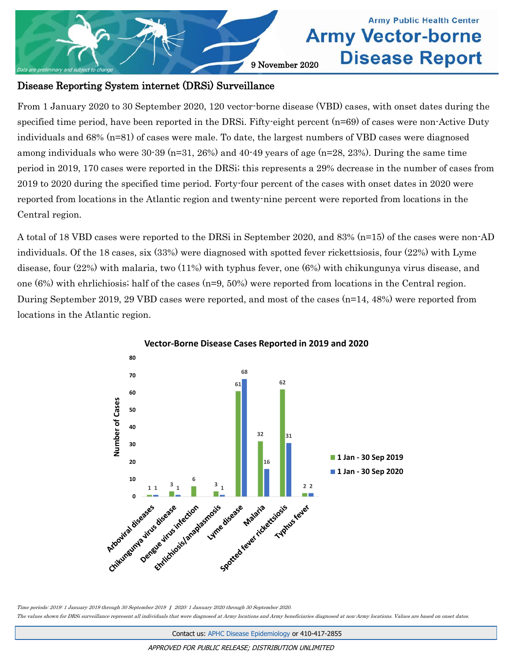

## **Army Public Health Center Army Vector-borne Disease Report**

## Disease Reporting System internet (DRSi) Surveillance

From 1 January 2020 to 30 September 2020, 120 vector-borne disease (VBD) cases, with onset dates during the specified time period, have been reported in the DRSi. Fifty-eight percent (n=69) of cases were non-Active Duty individuals and 68% (n=81) of cases were male. To date, the largest numbers of VBD cases were diagnosed among individuals who were  $30-39$  (n=31, 26%) and  $40-49$  years of age (n=28, 23%). During the same time period in 2019, 170 cases were reported in the DRSi; this represents a 29% decrease in the number of cases from 2019 to 2020 during the specified time period. Forty-four percent of the cases with onset dates in 2020 were reported from locations in the Atlantic region and twenty-nine percent were reported from locations in the Central region.

A total of 18 VBD cases were reported to the DRSi in September 2020, and 83% (n=15) of the cases were non-AD individuals. Of the 18 cases, six (33%) were diagnosed with spotted fever rickettsiosis, four (22%) with Lyme disease, four (22%) with malaria, two (11%) with typhus fever, one (6%) with chikungunya virus disease, and one  $(6%)$  with ehrlichiosis; half of the cases  $(n=9, 50%)$  were reported from locations in the Central region. During September 2019, 29 VBD cases were reported, and most of the cases (n=14, 48%) were reported from locations in the Atlantic region.



**Vector-Borne Disease Cases Reported in 2019 and 2020**

Time periods: 2019: 1 January 2019 through 30 September 2019 | 2020: 1 January 2020 through 30 September 2020.

The values shown for DRSi surveillance represent all individuals that were diagnosed at Army locations and Army beneficiaries diagnosed at non-Army locations. Values are based on onset dates.